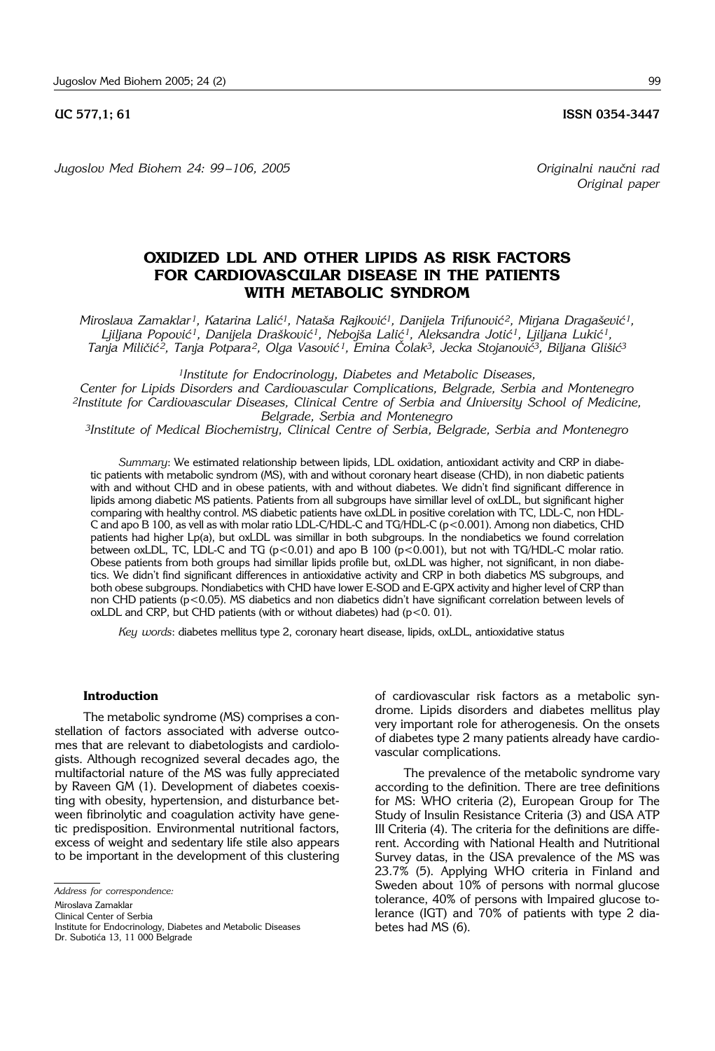*Jugoslov Med Biohem 24: 99 –106, 2005 Originalni nau~ni rad*

*Original paper*

# **OXIDIZED LDL AND OTHER LIPIDS AS RISK FACTORS FOR CARDIOVASCULAR DISEASE IN THE PATIENTS WITH METABOLIC SYNDROM**

*Miroslava Zamaklar<sup>1</sup>, Katarina Lalić<sup>1</sup>, Nataša Rajković<sup>1</sup>, Danijela Trifunović<sup>2</sup>, Mirjana Dragašević<sup>1</sup>,* Ljiljana Popović<sup>1</sup>, Danijela Drašković<sup>1</sup>, Nebojša Lalić<sup>1</sup>, Aleksandra Jotić<sup>1</sup>, Ljiljana Lukić<sup>1</sup>, *Tanja Mili~i} 2, Tanja Potpara2, Olga Vasovi} 1, Emina ^olak3, Jecka Stojanovi}3, Biljana Gli{i}3*

*1Institute for Endocrinology, Diabetes and Metabolic Diseases,* 

*Center for Lipids Disorders and Cardiovascular Complications, Belgrade, Serbia and Montenegro 2Institute for Cardiovascular Diseases, Clinical Centre of Serbia and University School of Medicine, Belgrade, Serbia and Montenegro*

*3Institute of Medical Biochemistry, Clinical Centre of Serbia, Belgrade, Serbia and Montenegro*

*Summary*: We estimated relationship between lipids, LDL oxidation, antioxidant activity and CRP in diabetic patients with metabolic syndrom (MS), with and without coronary heart disease (CHD), in non diabetic patients with and without CHD and in obese patients, with and without diabetes. We didn't find significant difference in lipids among diabetic MS patients. Patients from all subgroups have simillar level of oxLDL, but significant higher comparing with healthy control. MS diabetic patients have oxLDL in positive corelation with TC, LDL-C, non HDL-C and apo B 100, as vell as with molar ratio LDL-C/HDL-C and TG/HDL-C (p<0.001). Among non diabetics, CHD patients had higher Lp(a), but oxLDL was simillar in both subgroups. In the nondiabetics we found correlation between oxLDL, TC, LDL-C and TG ( $p < 0.01$ ) and apo B 100 ( $p < 0.001$ ), but not with TG/HDL-C molar ratio. Obese patients from both groups had simillar lipids profile but, oxLDL was higher, not significant, in non diabetics. We didn't find significant differences in antioxidative activity and CRP in both diabetics MS subgroups, and both obese subgroups. Nondiabetics with CHD have lower E-SOD and E-GPX activity and higher level of CRP than non CHD patients (p<0.05). MS diabetics and non diabetics didn't have significant correlation between levels of oxLDL and CRP, but CHD patients (with or without diabetes) had  $(p<0. 01)$ .

*Key words*: diabetes mellitus type 2, coronary heart disease, lipids, oxLDL, antioxidative status

### **Introduction**

The metabolic syndrome (MS) comprises a constellation of factors associated with adverse outcomes that are relevant to diabetologists and cardiologists. Although recognized several decades ago, the multifactorial nature of the MS was fully appreciated by Raveen GM (1). Development of diabetes coexisting with obesity, hypertension, and disturbance between fibrinolytic and coagulation activity have genetic predisposition. Environmental nutritional factors, excess of weight and sedentary life stile also appears to be important in the development of this clustering

Miroslava Zamaklar

Clinical Center of Serbia

of cardiovascular risk factors as a metabolic syndrome. Lipids disorders and diabetes mellitus play very important role for atherogenesis. On the onsets of diabetes type 2 many patients already have cardiovascular complications.

The prevalence of the metabolic syndrome vary according to the definition. There are tree definitions for MS: WHO criteria (2), European Group for The Study of Insulin Resistance Criteria (3) and USA ATP III Criteria (4). The criteria for the definitions are different. According with National Health and Nutritional Survey datas, in the USA prevalence of the MS was 23.7% (5). Applying WHO criteria in Finland and Sweden about 10% of persons with normal glucose tolerance, 40% of persons with Impaired glucose tolerance (IGT) and 70% of patients with type 2 diabetes had MS (6).

*Address for correspondence:*

Institute for Endocrinology, Diabetes and Metabolic Diseases Dr. Subotića 13, 11 000 Belgrade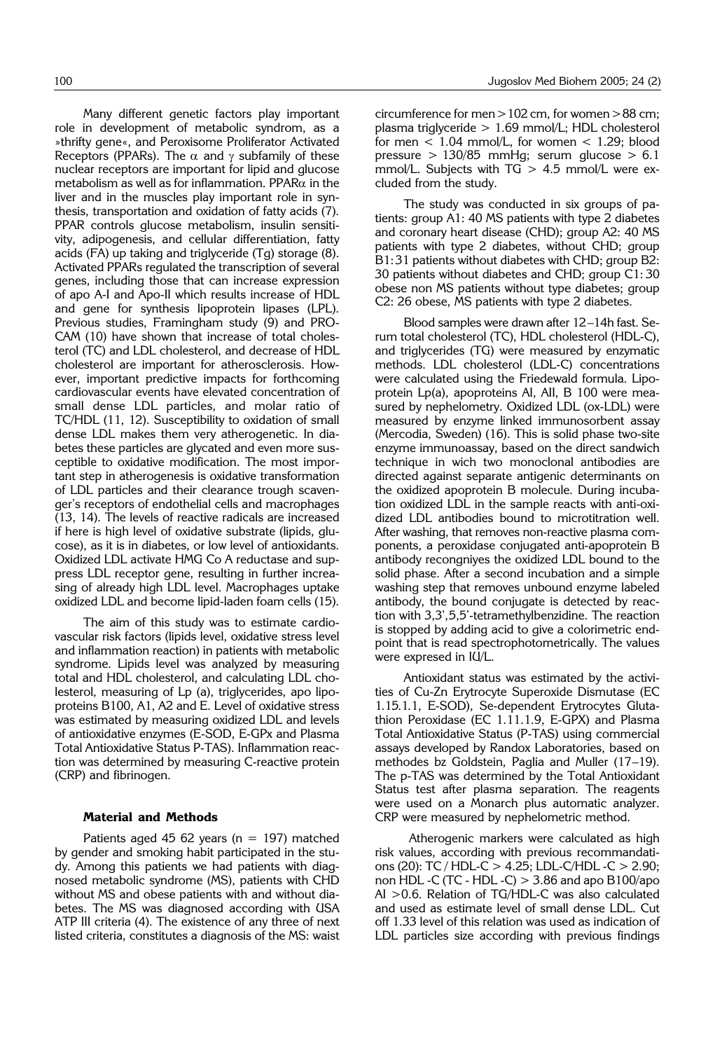Many different genetic factors play important role in development of metabolic syndrom, as a »thrifty gene«, and Peroxisome Proliferator Activated Receptors (PPARs). The  $\alpha$  and  $\gamma$  subfamily of these nuclear receptors are important for lipid and glucose metabolism as well as for inflammation. PPAR $\alpha$  in the liver and in the muscles play important role in synthesis, transportation and oxidation of fatty acids (7). PPAR controls glucose metabolism, insulin sensitivity, adipogenesis, and cellular differentiation, fatty acids (FA) up taking and triglyceride (Tg) storage (8). Activated PPARs regulated the transcription of several genes, including those that can increase expression of apo A-I and Apo-II which results increase of HDL and gene for synthesis lipoprotein lipases (LPL). Previous studies, Framingham study (9) and PRO-CAM (10) have shown that increase of total cholesterol (TC) and LDL cholesterol, and decrease of HDL cholesterol are important for atherosclerosis. However, important predictive impacts for forthcoming cardiovascular events have elevated concentration of small dense LDL particles, and molar ratio of TC/HDL (11, 12). Susceptibility to oxidation of small dense LDL makes them very atherogenetic. In diabetes these particles are glycated and even more susceptible to oxidative modification. The most important step in atherogenesis is oxidative transformation of LDL particles and their clearance trough scavenger's receptors of endothelial cells and macrophages (13, 14). The levels of reactive radicals are increased if here is high level of oxidative substrate (lipids, glucose), as it is in diabetes, or low level of antioxidants. Oxidized LDL activate HMG Co A reductase and suppress LDL receptor gene, resulting in further increasing of already high LDL level. Macrophages uptake oxidized LDL and become lipid-laden foam cells (15).

The aim of this study was to estimate cardiovascular risk factors (lipids level, oxidative stress level and inflammation reaction) in patients with metabolic syndrome. Lipids level was analyzed by measuring total and HDL cholesterol, and calculating LDL cholesterol, measuring of Lp (a), triglycerides, apo lipoproteins B100, A1, A2 and E. Level of oxidative stress was estimated by measuring oxidized LDL and levels of antioxidative enzymes (E-SOD, E-GPx and Plasma Total Antioxidative Status P-TAS). Inflammation reaction was determined by measuring C-reactive protein (CRP) and fibrinogen.

#### **Material and Methods**

Patients aged 45 62 years ( $n = 197$ ) matched by gender and smoking habit participated in the study. Among this patients we had patients with diagnosed metabolic syndrome (MS), patients with CHD without MS and obese patients with and without diabetes. The MS was diagnosed according with USA ATP III criteria (4). The existence of any three of next listed criteria, constitutes a diagnosis of the MS: waist circumference for men  $>102$  cm, for women  $>88$  cm; plasma triglyceride > 1.69 mmol/L; HDL cholesterol for men  $<$  1.04 mmol/L, for women  $<$  1.29; blood pressure > 130/85 mmHg; serum glucose > 6.1 mmol/L. Subjects with  $TG > 4.5$  mmol/L were excluded from the study.

The study was conducted in six groups of patients: group A1: 40 MS patients with type 2 diabetes and coronary heart disease (CHD); group A2: 40 MS patients with type 2 diabetes, without CHD; group B1:31 patients without diabetes with CHD; group B2: 30 patients without diabetes and CHD; group C1: 30 obese non MS patients without type diabetes; group C2: 26 obese, MS patients with type 2 diabetes.

Blood samples were drawn after 12-14h fast. Serum total cholesterol (TC), HDL cholesterol (HDL-C), and triglycerides (TG) were measured by enzymatic methods. LDL cholesterol (LDL-C) concentrations were calculated using the Friedewald formula. Lipoprotein Lp(a), apoproteins AI, AII, B 100 were measured by nephelometry. Oxidized LDL (ox-LDL) were measured by enzyme linked immunosorbent assay (Mercodia, Sweden) (16). This is solid phase two-site enzyme immunoassay, based on the direct sandwich technique in wich two monoclonal antibodies are directed against separate antigenic determinants on the oxidized apoprotein B molecule. During incubation oxidized LDL in the sample reacts with anti-oxidized LDL antibodies bound to microtitration well. After washing, that removes non-reactive plasma components, a peroxidase conjugated anti-apoprotein B antibody recongniyes the oxidized LDL bound to the solid phase. After a second incubation and a simple washing step that removes unbound enzyme labeled antibody, the bound conjugate is detected by reaction with 3,3',5,5'-tetramethylbenzidine. The reaction is stopped by adding acid to give a colorimetric endpoint that is read spectrophotometrically. The values were expresed in IU/L.

Antioxidant status was estimated by the activities of Cu-Zn Erytrocyte Superoxide Dismutase (EC 1.15.1.1, E-SOD), Se-dependent Erytrocytes Glutathion Peroxidase (EC 1.11.1.9, E-GPX) and Plasma Total Antioxidative Status (P-TAS) using commercial assays developed by Randox Laboratories, based on methodes bz Goldstein, Paglia and Muller (17-19). The p-TAS was determined by the Total Antioxidant Status test after plasma separation. The reagents were used on a Monarch plus automatic analyzer. CRP were measured by nephelometric method.

Atherogenic markers were calculated as high risk values, according with previous recommandations (20): TC / HDL-C > 4.25; LDL-C/HDL -C > 2.90; non HDL -C (TC - HDL -C) > 3.86 and apo B100/apo AI >0.6. Relation of TG/HDL-C was also calculated and used as estimate level of small dense LDL. Cut off 1.33 level of this relation was used as indication of LDL particles size according with previous findings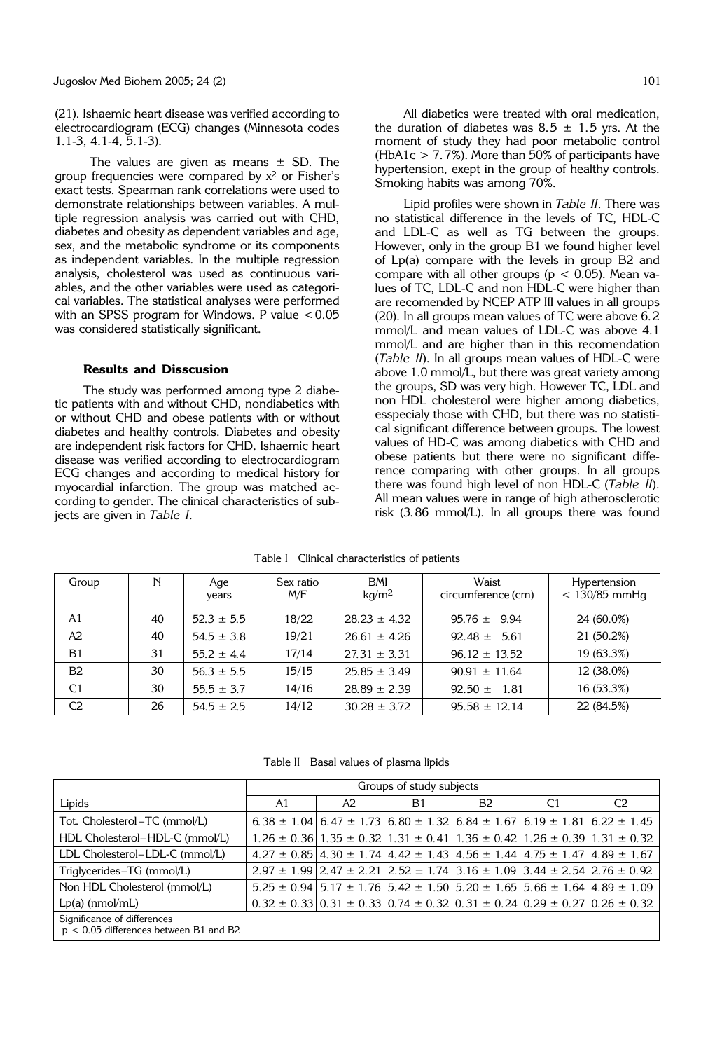(21). Ishaemic heart disease was verified according to electrocardiogram (ECG) changes (Minnesota codes 1.1-3, 4.1-4, 5.1-3).

The values are given as means  $\pm$  SD. The group frequencies were compared by x<sup>2</sup> or Fisher's exact tests. Spearman rank correlations were used to demonstrate relationships between variables. A multiple regression analysis was carried out with CHD, diabetes and obesity as dependent variables and age, sex, and the metabolic syndrome or its components as independent variables. In the multiple regression analysis, cholesterol was used as continuous variables, and the other variables were used as categorical variables. The statistical analyses were performed with an SPSS program for Windows. P value  $< 0.05$ was considered statistically significant.

### **Results and Disscusion**

The study was performed among type 2 diabetic patients with and without CHD, nondiabetics with or without CHD and obese patients with or without diabetes and healthy controls. Diabetes and obesity are independent risk factors for CHD. Ishaemic heart disease was verified according to electrocardiogram ECG changes and according to medical history for myocardial infarction. The group was matched according to gender. The clinical characteristics of subjects are given in *Table I*.

All diabetics were treated with oral medication, the duration of diabetes was  $8.5 \pm 1.5$  yrs. At the moment of study they had poor metabolic control (HbA1c  $>$  7.7%). More than 50% of participants have hypertension, exept in the group of healthy controls. Smoking habits was among 70%.

Lipid profiles were shown in *Table II*. There was no statistical difference in the levels of TC, HDL-C and LDL-C as well as TG between the groups. However, only in the group B1 we found higher level of Lp(a) compare with the levels in group B2 and compare with all other groups ( $p < 0.05$ ). Mean values of TC, LDL-C and non HDL-C were higher than are recomended by NCEP ATP III values in all groups (20). In all groups mean values of TC were above 6.2 mmol/L and mean values of LDL-C was above 4.1 mmol/L and are higher than in this recomendation (*Table II*). In all groups mean values of HDL-C were above 1.0 mmol/L, but there was great variety among the groups, SD was very high. However TC, LDL and non HDL cholesterol were higher among diabetics, esspecialy those with CHD, but there was no statistical significant difference between groups. The lowest values of HD-C was among diabetics with CHD and obese patients but there were no significant difference comparing with other groups. In all groups there was found high level of non HDL-C (*Table II*). All mean values were in range of high atherosclerotic risk (3.86 mmol/L). In all groups there was found

| Group          | N  | Age<br>years   | Sex ratio<br>M/F | <b>BMI</b><br>kg/m <sup>2</sup> | Waist<br>circumference (cm) | Hypertension<br>$< 130/85$ mmHg |
|----------------|----|----------------|------------------|---------------------------------|-----------------------------|---------------------------------|
| A1             | 40 | $52.3 \pm 5.5$ | 18/22            | $28.23 \pm 4.32$                | $95.76 \pm 9.94$            | 24 (60.0%)                      |
| A2             | 40 | $54.5 \pm 3.8$ | 19/21            | $26.61 \pm 4.26$                | $92.48 \pm 5.61$            | 21 (50.2%)                      |
| B1             | 31 | $55.2 \pm 4.4$ | 17/14            | $27.31 \pm 3.31$                | $96.12 \pm 13.52$           | 19 (63.3%)                      |
| <b>B2</b>      | 30 | $56.3 \pm 5.5$ | 15/15            | $25.85 \pm 3.49$                | $90.91 \pm 11.64$           | 12 (38.0%)                      |
| C <sub>1</sub> | 30 | $55.5 \pm 3.7$ | 14/16            | $28.89 \pm 2.39$                | 92.50 $\pm$<br>- 1.81       | 16 (53.3%)                      |
| C <sub>2</sub> | 26 | $54.5 \pm 2.5$ | 14/12            | $30.28 \pm 3.72$                | $95.58 \pm 12.14$           | 22 (84.5%)                      |

Table I Clinical characteristics of patients

Table II Basal values of plasma lipids

|                                                                                | Groups of study subjects |    |                |                |                                                                                                 |                                                                                                           |  |
|--------------------------------------------------------------------------------|--------------------------|----|----------------|----------------|-------------------------------------------------------------------------------------------------|-----------------------------------------------------------------------------------------------------------|--|
| Lipids                                                                         | A1                       | A2 | B <sub>1</sub> | B <sub>2</sub> | C <sub>1</sub>                                                                                  | C <sub>2</sub>                                                                                            |  |
| Tot. Cholesterol – TC (mmol/L)                                                 |                          |    |                |                |                                                                                                 | 6.38 $\pm$ 1.04 6.47 $\pm$ 1.73 6.80 $\pm$ 1.32 6.84 $\pm$ 1.67 6.19 $\pm$ 1.81 6.22 $\pm$ 1.45           |  |
| HDL Cholesterol-HDL-C (mmol/L)                                                 |                          |    |                |                |                                                                                                 | $1.26 \pm 0.36$   1.35 $\pm$ 0.32   1.31 $\pm$ 0.41   1.36 $\pm$ 0.42   1.26 $\pm$ 0.39   1.31 $\pm$ 0.32 |  |
| LDL Cholesterol-LDL-C (mmol/L)                                                 |                          |    |                |                | $4.27 \pm 0.85$ 4.30 $\pm$ 1.74 4.42 $\pm$ 1.43 4.56 $\pm$ 1.44 4.75 $\pm$ 1.47 4.89 $\pm$ 1.67 |                                                                                                           |  |
| Triglycerides-TG (mmol/L)                                                      |                          |    |                |                |                                                                                                 | $2.97 \pm 1.99$   2.47 $\pm$ 2.21   2.52 $\pm$ 1.74   3.16 $\pm$ 1.09   3.44 $\pm$ 2.54   2.76 $\pm$ 0.92 |  |
| Non HDL Cholesterol (mmol/L)                                                   |                          |    |                |                |                                                                                                 | $5.25 \pm 0.94$   $5.17 \pm 1.76$   $5.42 \pm 1.50$   $5.20 \pm 1.65$   $5.66 \pm 1.64$   $4.89 \pm 1.09$ |  |
| $Lp(a)$ (nmol/mL)                                                              |                          |    |                |                |                                                                                                 | $0.32 \pm 0.33   0.31 \pm 0.33   0.74 \pm 0.32   0.31 \pm 0.24   0.29 \pm 0.27   0.26 \pm 0.32$           |  |
| Significance of differences<br>$n \geq 0.05$ differences between $R1$ and $R2$ |                          |    |                |                |                                                                                                 |                                                                                                           |  |

p < 0.05 differences between B1 and B2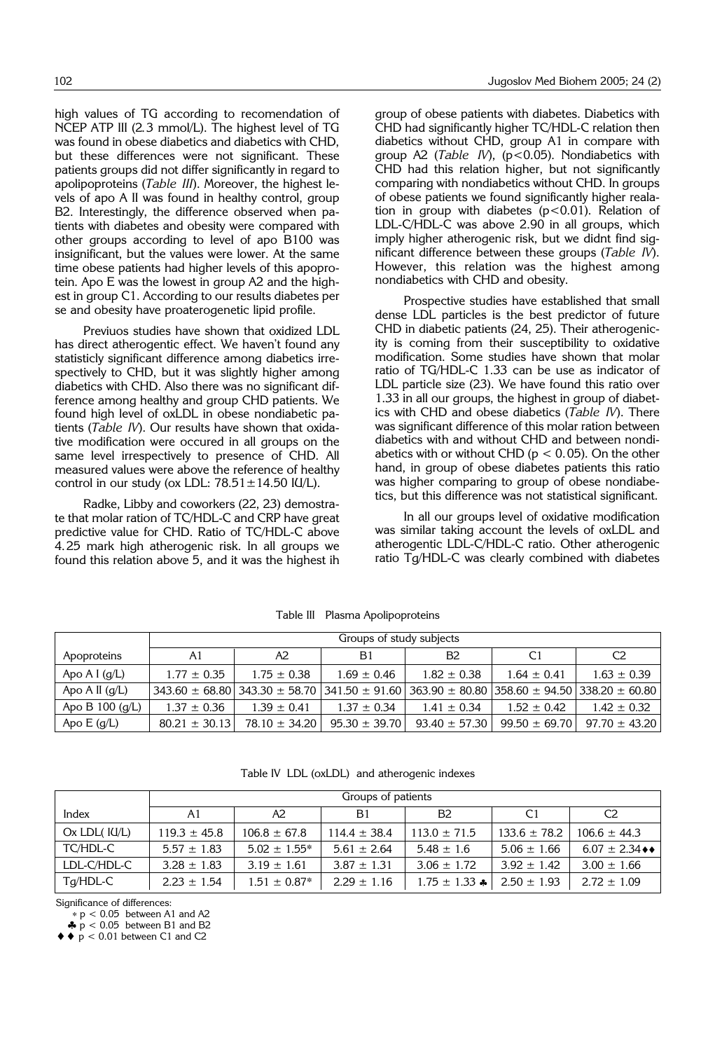high values of TG according to recomendation of NCEP ATP III (2.3 mmol/L). The highest level of TG was found in obese diabetics and diabetics with CHD, but these differences were not significant. These patients groups did not differ significantly in regard to apolipoproteins (*Table III*). Moreover, the highest levels of apo A II was found in healthy control, group B2. Interestingly, the difference observed when patients with diabetes and obesity were compared with other groups according to level of apo B100 was insignificant, but the values were lower. At the same time obese patients had higher levels of this apoprotein. Apo E was the lowest in group A2 and the highest in group C1. According to our results diabetes per se and obesity have proaterogenetic lipid profile.

Previuos studies have shown that oxidized LDL has direct atherogentic effect. We haven't found any statisticly significant difference among diabetics irrespectively to CHD, but it was slightly higher among diabetics with CHD. Also there was no significant difference among healthy and group CHD patients. We found high level of oxLDL in obese nondiabetic patients (*Table IV*). Our results have shown that oxidative modification were occured in all groups on the same level irrespectively to presence of CHD. All measured values were above the reference of healthy control in our study (ox LDL:  $78.51 \pm 14.50$  IU/L).

Radke, Libby and coworkers (22, 23) demostrate that molar ration of TC/HDL-C and CRP have great predictive value for CHD. Ratio of TC/HDL-C above 4.25 mark high atherogenic risk. In all groups we found this relation above 5, and it was the highest ih group of obese patients with diabetes. Diabetics with CHD had significantly higher TC/HDL-C relation then diabetics without CHD, group A1 in compare with group A2 (*Table IV*), (p<0.05). Nondiabetics with CHD had this relation higher, but not significantly comparing with nondiabetics without CHD. In groups of obese patients we found significantly higher realation in group with diabetes  $(p<0.01)$ . Relation of LDL-C/HDL-C was above 2.90 in all groups, which imply higher atherogenic risk, but we didnt find significant difference between these groups (*Table IV*). However, this relation was the highest among nondiabetics with CHD and obesity.

Prospective studies have established that small dense LDL particles is the best predictor of future CHD in diabetic patients (24, 25). Their atherogenicity is coming from their susceptibility to oxidative modification. Some studies have shown that molar ratio of TG/HDL-C 1.33 can be use as indicator of LDL particle size (23). We have found this ratio over 1.33 in all our groups, the highest in group of diabetics with CHD and obese diabetics (*Table IV*). There was significant difference of this molar ration between diabetics with and without CHD and between nondiabetics with or without CHD ( $p < 0.05$ ). On the other hand, in group of obese diabetes patients this ratio was higher comparing to group of obese nondiabetics, but this difference was not statistical significant.

In all our groups level of oxidative modification was similar taking account the levels of oxLDL and atherogentic LDL-C/HDL-C ratio. Other atherogenic ratio Tg/HDL-C was clearly combined with diabetes

|                   | Groups of study subjects |                                                                                                                  |                   |                   |                   |                   |  |
|-------------------|--------------------------|------------------------------------------------------------------------------------------------------------------|-------------------|-------------------|-------------------|-------------------|--|
| Apoproteins       | A1                       | A2                                                                                                               | B <sub>1</sub>    | B <sub>2</sub>    | C <sub>1</sub>    | C <sub>2</sub>    |  |
| Apo A I $(q/L)$   | $1.77 \pm 0.35$          | $1.75 \pm 0.38$                                                                                                  | $1.69 \pm 0.46$   | $1.82 \pm 0.38$   | $1.64 \pm 0.41$   | $1.63 \pm 0.39$   |  |
| Apo A II $(q/L)$  |                          | $343.60 \pm 68.80$ 343.30 $\pm$ 58.70 341.50 $\pm$ 91.60 363.90 $\pm$ 80.80 358.60 $\pm$ 94.50 38.20 $\pm$ 60.80 |                   |                   |                   |                   |  |
| Apo B $100 (q/L)$ | $1.37 \pm 0.36$          | $1.39 \pm 0.41$                                                                                                  | $1.37 \pm 0.34$   | $1.41 + 0.34$     | $1.52 \pm 0.42$   | $1.42 \pm 0.32$   |  |
| Apo $E(g/L)$      | $80.21 \pm 30.13$        | $78.10 \pm 34.20$                                                                                                | $95.30 \pm 39.70$ | $93.40 \pm 57.30$ | $99.50 \pm 69.70$ | $97.70 \pm 43.20$ |  |

Table III Plasma Apolipoproteins

Table IV LDL (oxLDL) and atherogenic indexes

|                    | Groups of patients |                   |                  |                             |                  |                                   |  |  |
|--------------------|--------------------|-------------------|------------------|-----------------------------|------------------|-----------------------------------|--|--|
| Index              | A1                 | A2                | B1               | B2                          | C1               | C <sub>2</sub>                    |  |  |
| $Ox$ LDL( $Id/L$ ) | $119.3 \pm 45.8$   | $106.8 \pm 67.8$  | $114.4 \pm 38.4$ | $113.0 \pm 71.5$            | $133.6 \pm 78.2$ | $106.6 \pm 44.3$                  |  |  |
| TC/HDL-C           | $5.57 \pm 1.83$    | $5.02 \pm 1.55^*$ | $5.61 \pm 2.64$  | $5.48 \pm 1.6$              | $5.06 \pm 1.66$  | $6.07 \pm 2.34$ $\leftrightarrow$ |  |  |
| LDL-C/HDL-C        | $3.28 \pm 1.83$    | $3.19 \pm 1.61$   | $3.87 \pm 1.31$  | $3.06 \pm 1.72$             | $3.92 \pm 1.42$  | $3.00 \pm 1.66$                   |  |  |
| Tg/HDL-C           | $2.23 \pm 1.54$    | $1.51 \pm 0.87*$  | $2.29 \pm 1.16$  | 1.75 $\pm$ 1.33 $\clubsuit$ | $2.50 \pm 1.93$  | $2.72 \pm 1.09$                   |  |  |

Significance of differences:

∗ p < 0.05 between A1 and A2

 $\clubsuit$  p < 0.05 between B1 and B2

 $\blacklozenge \blacklozenge$  p < 0.01 between C1 and C2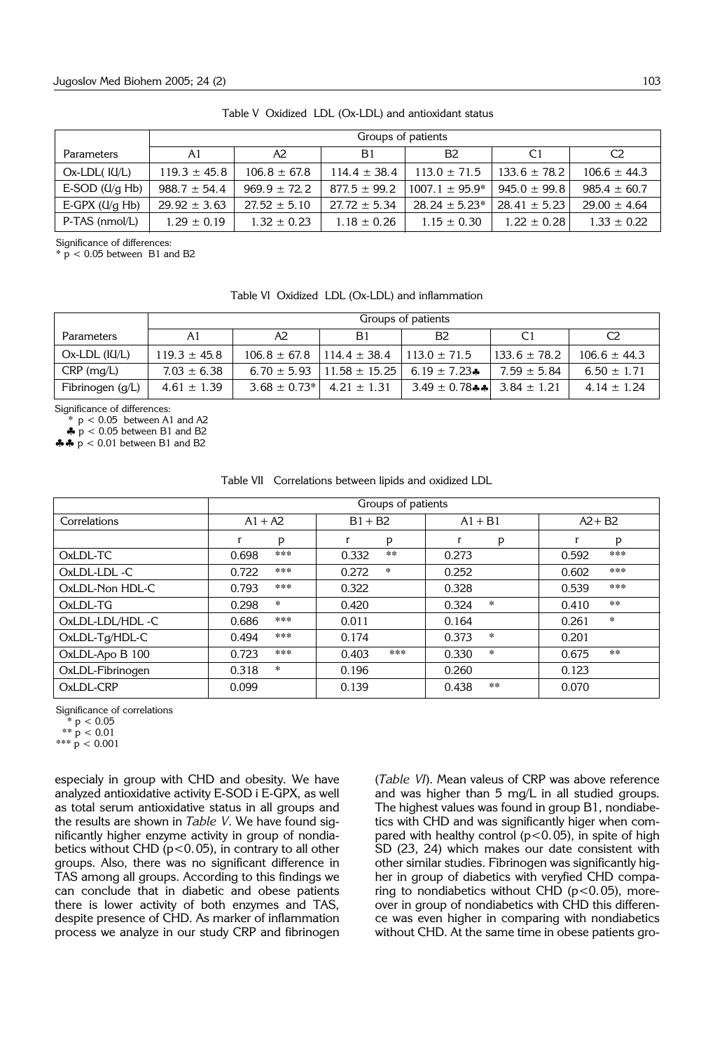|                       | Groups of patients |                  |                  |                   |                  |                  |  |
|-----------------------|--------------------|------------------|------------------|-------------------|------------------|------------------|--|
| Parameters            | A1                 | A2               | B1               | B <sub>2</sub>    | C1               | C2               |  |
| $Ox$ -LDL $($ $IU/L)$ | $119.3 \pm 45.8$   | $106.8 \pm 67.8$ | $114.4 \pm 38.4$ | $113.0 \pm 71.5$  | $133.6 \pm 78.2$ | $106.6 \pm 44.3$ |  |
| E-SOD $(U/g$ Hb)      | $988.7 \pm 54.4$   | $969.9 \pm 72.2$ | $877.5 \pm 99.2$ | $1007.1 + 95.9*$  | $945.0 \pm 99.8$ | $985.4 \pm 60.7$ |  |
| E-GPX $(U/g$ Hb)      | $29.92 \pm 3.63$   | $27.52 \pm 5.10$ | $27.72 \pm 5.34$ | $28.24 \pm 5.23*$ | $28.41 \pm 5.23$ | $29.00 \pm 4.64$ |  |
| P-TAS (nmol/L)        | $1.29 \pm 0.19$    | $1.32 \pm 0.23$  | $1.18 \pm 0.26$  | $1.15 \pm 0.30$   | $1.22 \pm 0.28$  | $1.33 \pm 0.22$  |  |

Table V Oxidized LDL (Ox-LDL) and antioxidant status

Significance of differences:

 $* p < 0.05$  between B1 and B2

Table VI Oxidized LDL (Ox-LDL) and inflammation

|                      | Groups of patients |                   |                                     |                                   |                  |                  |  |
|----------------------|--------------------|-------------------|-------------------------------------|-----------------------------------|------------------|------------------|--|
| Parameters           | A1                 | Α2                | B1                                  | B <sub>2</sub>                    | C1               |                  |  |
| $Ox$ -LDL ( $IU/L$ ) | $119.3 \pm 45.8$   | $106.8 \pm 67.8$  | $114.4 \pm 38.4$                    | $113.0 \pm 71.5$                  | $133.6 \pm 78.2$ | $106.6 \pm 44.3$ |  |
| $CRP$ (mg/L)         | $7.03 \pm 6.38$    | $6.70 \pm 5.93$   | $11.58 \pm 15.25$ 6.19 $\pm 7.23$ * |                                   | $7.59 \pm 5.84$  | $6.50 \pm 1.71$  |  |
| Fibrinogen (g/L)     | $4.61 \pm 1.39$    | $3.68 \pm 0.73$ * | $4.21 \pm 1.31$                     | 3.49 $\pm$ 0.78** 3.84 $\pm$ 1.21 |                  | $4.14 \pm 1.24$  |  |

Significance of differences:

 $*$   $p < 0.05$  between A1 and A2

 $\stackrel{\bullet}{\bullet}$  p < 0.05 between B1 and B2

♣♣ p < 0.01 between B1 and B2

|  | Table VII Correlations between lipids and oxidized LDL |  |  |  |  |  |
|--|--------------------------------------------------------|--|--|--|--|--|
|--|--------------------------------------------------------|--|--|--|--|--|

| Correlations     | $A1 + A2$          | $B1 + B2$        | $A1 + B1$        | $A2 + B2$         |
|------------------|--------------------|------------------|------------------|-------------------|
|                  | p<br>r             | r<br>p           | r<br>р           | $\mathbf{r}$<br>p |
| OxLDL-TC         | ***<br>0.698       | $* *$<br>0.332   | 0.273            | ***<br>0.592      |
| OxLDL-LDL-C      | ***<br>0.722       | $\star$<br>0.272 | 0.252            | ***<br>0.602      |
| OxLDL-Non HDL-C  | ***<br>0.793       | 0.322            | 0.328            | ***<br>0.539      |
| OxLDL-TG         | $\approx$<br>0.298 | 0.420            | $\star$<br>0.324 | $***$<br>0.410    |
| OxLDL-LDL/HDL-C  | ***<br>0.686       | 0.011            | 0.164            | $\pm$<br>0.261    |
| OxLDL-Tg/HDL-C   | ***<br>0.494       | 0.174            | $\sim$<br>0.373  | 0.201             |
| OxLDL-Apo B 100  | ***<br>0.723       | ***<br>0.403     | $\sim$<br>0.330  | $***$<br>0.675    |
| OxLDL-Fibrinogen | $\ast$<br>0.318    | 0.196            | 0.260            | 0.123             |
| OxLDL-CRP        | 0.099              | 0.139            | $***$<br>0.438   | 0.070             |

Significance of correlations

 $* p < 0.05$ 

 $** p < 0.01$ 

\*\*\*  $\dot{p}$  < 0.001

especialy in group with CHD and obesity. We have analyzed antioxidative activity E-SOD i E-GPX, as well as total serum antioxidative status in all groups and the results are shown in *Table V*. We have found significantly higher enzyme activity in group of nondiabetics without CHD ( $p$ <0.05), in contrary to all other groups. Also, there was no significant difference in TAS among all groups. According to this findings we can conclude that in diabetic and obese patients there is lower activity of both enzymes and TAS, despite presence of CHD. As marker of inflammation process we analyze in our study CRP and fibrinogen (*Table VI*). Mean valeus of CRP was above reference and was higher than 5 mg/L in all studied groups. The highest values was found in group B1, nondiabetics with CHD and was significantly higer when compared with healthy control ( $p$ <0.05), in spite of high SD (23, 24) which makes our date consistent with other similar studies. Fibrinogen was significantly higher in group of diabetics with veryfied CHD comparing to nondiabetics without CHD ( $p$ <0.05), moreover in group of nondiabetics with CHD this difference was even higher in comparing with nondiabetics without CHD. At the same time in obese patients gro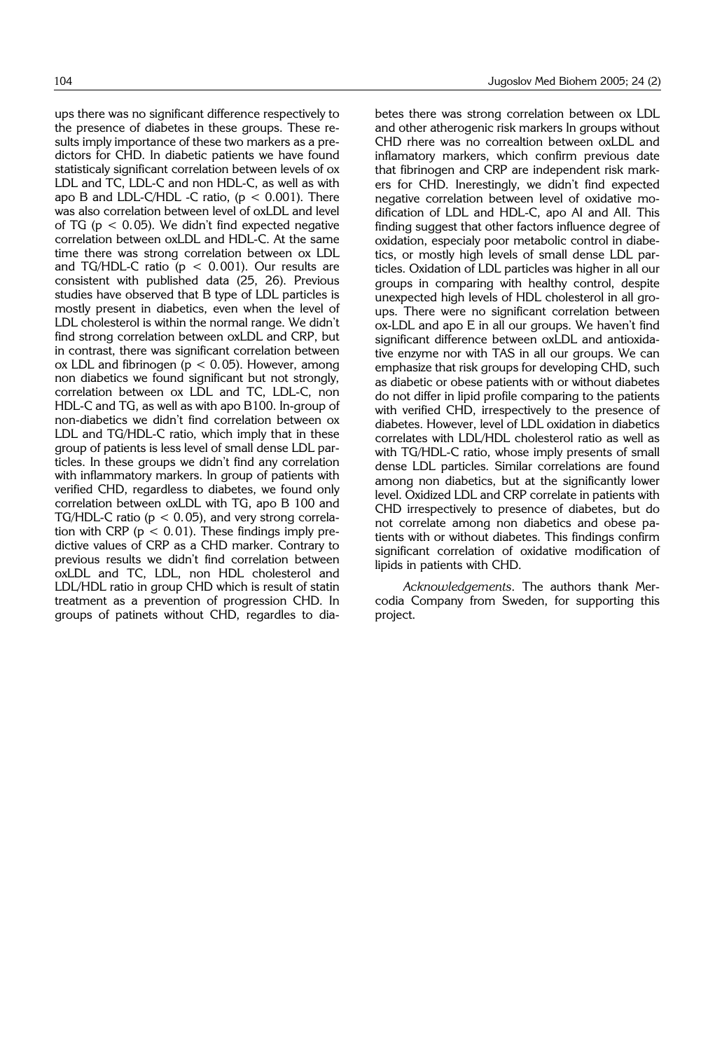ups there was no significant difference respectively to the presence of diabetes in these groups. These results imply importance of these two markers as a predictors for CHD. In diabetic patients we have found statisticaly significant correlation between levels of ox LDL and TC, LDL-C and non HDL-C, as well as with apo B and LDL-C/HDL -C ratio,  $(p < 0.001)$ . There was also correlation between level of oxLDL and level of TG ( $p < 0.05$ ). We didn't find expected negative correlation between oxLDL and HDL-C. At the same time there was strong correlation between ox LDL and TG/HDL-C ratio ( $p < 0.001$ ). Our results are consistent with published data (25, 26). Previous studies have observed that B type of LDL particles is mostly present in diabetics, even when the level of LDL cholesterol is within the normal range. We didn't find strong correlation between oxLDL and CRP, but in contrast, there was significant correlation between ox LDL and fibrinogen ( $p < 0.05$ ). However, among non diabetics we found significant but not strongly, correlation between ox LDL and TC, LDL-C, non HDL-C and TG, as well as with apo B100. In-group of non-diabetics we didn't find correlation between ox LDL and TG/HDL-C ratio, which imply that in these group of patients is less level of small dense LDL particles. In these groups we didn't find any correlation with inflammatory markers. In group of patients with verified CHD, regardless to diabetes, we found only correlation between oxLDL with TG, apo B 100 and TG/HDL-C ratio ( $p < 0.05$ ), and very strong correlation with CRP ( $p < 0.01$ ). These findings imply predictive values of CRP as a CHD marker. Contrary to previous results we didn't find correlation between oxLDL and TC, LDL, non HDL cholesterol and LDL/HDL ratio in group CHD which is result of statin treatment as a prevention of progression CHD. In groups of patinets without CHD, regardles to dia-

betes there was strong correlation between ox LDL and other atherogenic risk markers In groups without CHD rhere was no correaltion between oxLDL and inflamatory markers, which confirm previous date that fibrinogen and CRP are independent risk markers for CHD. Inerestingly, we didn't find expected negative correlation between level of oxidative modification of LDL and HDL-C, apo AI and AII. This finding suggest that other factors influence degree of oxidation, especialy poor metabolic control in diabetics, or mostly high levels of small dense LDL particles. Oxidation of LDL particles was higher in all our groups in comparing with healthy control, despite unexpected high levels of HDL cholesterol in all groups. There were no significant correlation between ox-LDL and apo E in all our groups. We haven't find significant difference between oxLDL and antioxidative enzyme nor with TAS in all our groups. We can emphasize that risk groups for developing CHD, such as diabetic or obese patients with or without diabetes do not differ in lipid profile comparing to the patients with verified CHD, irrespectively to the presence of diabetes. However, level of LDL oxidation in diabetics correlates with LDL/HDL cholesterol ratio as well as with TG/HDL-C ratio, whose imply presents of small dense LDL particles. Similar correlations are found among non diabetics, but at the significantly lower level. Oxidized LDL and CRP correlate in patients with CHD irrespectively to presence of diabetes, but do not correlate among non diabetics and obese patients with or without diabetes. This findings confirm significant correlation of oxidative modification of lipids in patients with CHD.

*Acknowledgements*. The authors thank Mercodia Company from Sweden, for supporting this project.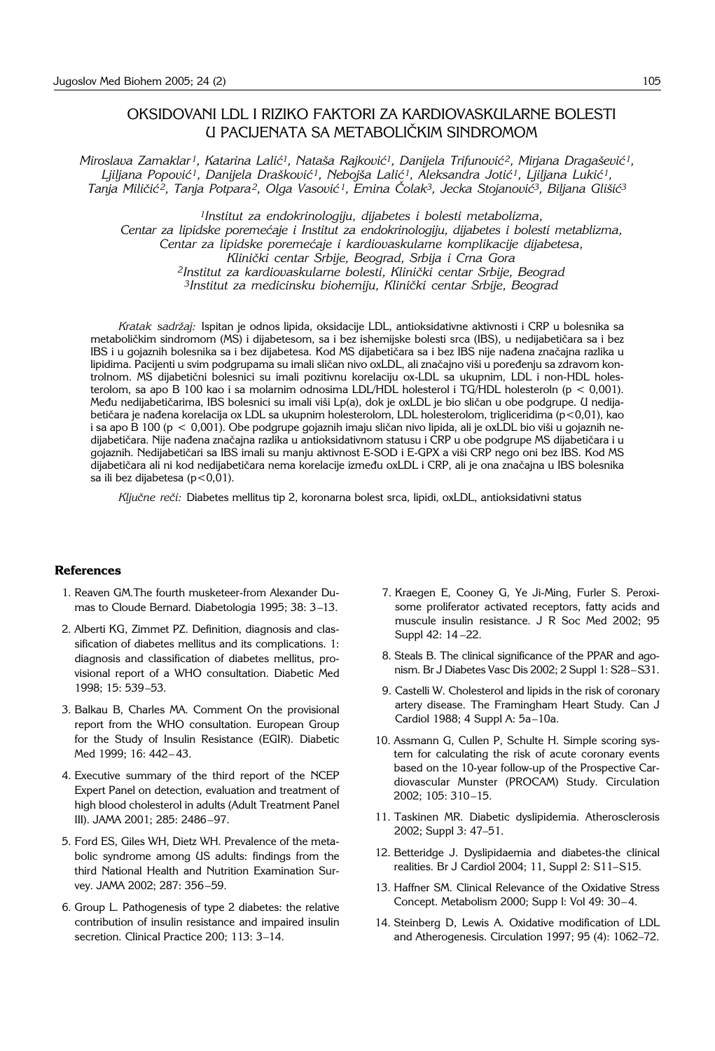## OKSIDOVANI LDL I RIZIKO FAKTORI ZA KARDIOVASKULARNE BOLESTI U PACIJENATA SA METABOLI^KIM SINDROMOM

*Miroslava Zamaklar<sup>1</sup>, Katarina Lalić<sup>1</sup>, Nataša Rajković<sup>1</sup>, Danijela Trifunović<sup>2</sup>, Mirjana Dragašević<sup>1</sup>,* Liiliana Popović<sup>1</sup>, Danijela Drašković<sup>1</sup>, Nebojša Lalić<sup>1</sup>, Aleksandra Jotić<sup>1</sup>, Liiliana Lukić<sup>1</sup>, *Tanja Mili~i} 2, Tanja Potpara2, Olga Vasovi} 1, Emina ^olak3, Jecka Stojanovi}3, Biljana Gli{i}3*

*1Institut za endokrinologiju, dijabetes i bolesti metabolizma,*  Centar za lipidske poremećaje i Institut za endokrinologiju, dijabetes i bolesti metablizma, Centar za lipidske poremećaje i kardiovaskularne komplikacije dijabetesa, *Klini~ki centar Srbije, Beograd, Srbija i Crna Gora* <sup>2</sup>Institut za kardiovaskularne bolesti, Klinički centar Srbije, Beograd <sup>3</sup>Institut za medicinsku biohemiju, Klinički centar Srbije, Beograd

*Kratak sadr`aj:* Ispitan je odnos lipida, oksidacije LDL, antioksidativne aktivnosti i CRP u bolesnika sa metaboličkim sindromom (MS) i dijabetesom, sa i bez ishemijske bolesti srca (IBS), u nedijabetičara sa i bez IBS i u gojaznih bolesnika sa i bez dijabetesa. Kod MS dijabetičara sa i bez IBS nije nađena značajna razlika u lipidima. Pacijenti u svim podgrupama su imali sličan nivo oxLDL, ali značajno viši u poređenju sa zdravom kontrolnom. MS dijabetični bolesnici su imali pozitivnu korelaciju ox-LDL sa ukupnim, LDL i non-HDL holesterolom, sa apo B 100 kao i sa molarnim odnosima LDL/HDL holesterol i TG/HDL holesteroln (p < 0,001). Među nedijabetičarima, IBS bolesnici su imali viši Lp(a), dok je oxLDL je bio sličan u obe podgrupe. U nedijabetičara je nađena korelacija ox LDL sa ukupnim holesterolom, LDL holesterolom, trigliceridima (p<0,01), kao i sa apo B 100 (p < 0,001). Obe podgrupe gojaznih imaju sličan nivo lipida, ali je oxLDL bio viši u gojaznih nedijabetičara. Nije nađena značajna razlika u antioksidativnom statusu i CRP u obe podgrupe MS dijabetičara i u gojaznih. Nedijabetičari sa IBS imali su manju aktivnost E-SOD i E-GPX a viši CRP nego oni bez IBS. Kod MS dijabetičara ali ni kod nedijabetičara nema korelacije između oxLDL i CRP, ali je ona značajna u IBS bolesnika sa ili bez dijabetesa (p<0,01).

*Klju~ne re~i:* Diabetes mellitus tip 2, koronarna bolest srca, lipidi, oxLDL, antioksidativni status

#### **References**

- 1. Reaven GM.The fourth musketeer-from Alexander Dumas to Cloude Bernard. Diabetologia 1995; 38: 3-13.
- 2. Alberti KG, Zimmet PZ. Definition, diagnosis and classification of diabetes mellitus and its complications. 1: diagnosis and classification of diabetes mellitus, provisional report of a WHO consultation. Diabetic Med 1998: 15: 539-53.
- 3. Balkau B, Charles MA. Comment On the provisional report from the WHO consultation. European Group for the Study of Insulin Resistance (EGIR). Diabetic Med 1999; 16: 442-43.
- 4. Executive summary of the third report of the NCEP Expert Panel on detection, evaluation and treatment of high blood cholesterol in adults (Adult Treatment Panel III). JAMA 2001; 285: 2486-97.
- 5. Ford ES, Giles WH, Dietz WH. Prevalence of the metabolic syndrome among US adults: findings from the third National Health and Nutrition Examination Survey. JAMA 2002; 287: 356-59.
- 6. Group L. Pathogenesis of type 2 diabetes: the relative contribution of insulin resistance and impaired insulin secretion. Clinical Practice 200; 113: 3-14.
- 7. Kraegen E, Cooney G, Ye Ji-Ming, Furler S. Peroxisome proliferator activated receptors, fatty acids and muscule insulin resistance. J R Soc Med 2002; 95 Suppl 42: 14-22.
- 8. Steals B. The clinical significance of the PPAR and agonism. Br J Diabetes Vasc Dis 2002; 2 Suppl 1: S28-S31.
- 9. Castelli W. Cholesterol and lipids in the risk of coronary artery disease. The Framingham Heart Study. Can J Cardiol 1988; 4 Suppl A: 5a-10a.
- 10. Assmann G, Cullen P, Schulte H. Simple scoring system for calculating the risk of acute coronary events based on the 10-year follow-up of the Prospective Cardiovascular Munster (PROCAM) Study. Circulation 2002; 105: 310-15.
- 11. Taskinen MR. Diabetic dyslipidemia. Atherosclerosis 2002; Suppl 3: 47-51.
- 12. Betteridge J. Dyslipidaemia and diabetes-the clinical realities. Br J Cardiol 2004; 11, Suppl 2: S11-S15.
- 13. Haffner SM. Clinical Relevance of the Oxidative Stress Concept. Metabolism 2000; Supp l: Vol 49: 30-4.
- 14. Steinberg D, Lewis A. Oxidative modification of LDL and Atherogenesis. Circulation 1997; 95 (4): 1062-72.